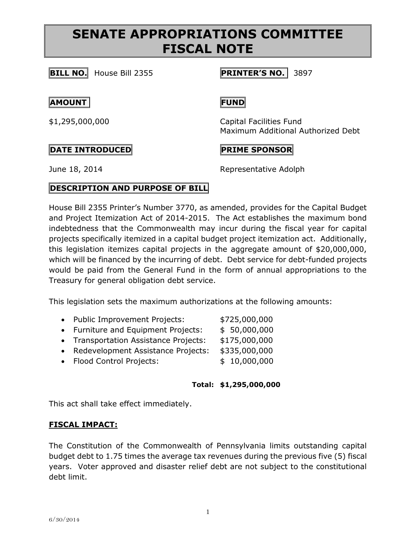# **SENATE APPROPRIATIONS COMMITTEE FISCAL NOTE**

**BILL NO.** House Bill 2355 **PRINTER'S NO.** 3897

## **AMOUNT FUND**

\$1,295,000,000 Capital Facilities Fund Maximum Additional Authorized Debt

# $\begin{bmatrix} \texttt{PATE} & \texttt{INTRODUCTION} \end{bmatrix}$

June 18, 2014 **Representative Adolph** 

# **DESCRIPTION AND PURPOSE OF BILL**

House Bill 2355 Printer's Number 3770, as amended, provides for the Capital Budget and Project Itemization Act of 2014-2015. The Act establishes the maximum bond indebtedness that the Commonwealth may incur during the fiscal year for capital projects specifically itemized in a capital budget project itemization act. Additionally, this legislation itemizes capital projects in the aggregate amount of \$20,000,000, which will be financed by the incurring of debt. Debt service for debt-funded projects would be paid from the General Fund in the form of annual appropriations to the Treasury for general obligation debt service.

This legislation sets the maximum authorizations at the following amounts:

- Public Improvement Projects: \$725,000,000
- Furniture and Equipment Projects: \$ 50,000,000
- Transportation Assistance Projects: \$175,000,000
- Redevelopment Assistance Projects: \$335,000,000
- Flood Control Projects:  $$ 10,000,000$

### **Total: \$1,295,000,000**

This act shall take effect immediately.

### **FISCAL IMPACT:**

The Constitution of the Commonwealth of Pennsylvania limits outstanding capital budget debt to 1.75 times the average tax revenues during the previous five (5) fiscal years. Voter approved and disaster relief debt are not subject to the constitutional debt limit.